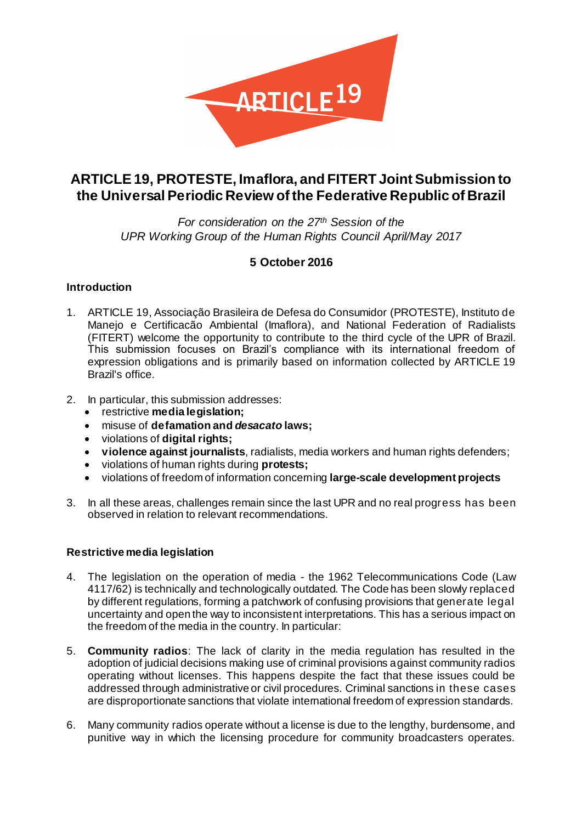

# **ARTICLE 19, PROTESTE, Imaflora, and FITERT Joint Submission to the Universal Periodic Review of the Federative Republic of Brazil**

*For consideration on the 27th Session of the UPR Working Group of the Human Rights Council April/May 2017*

# **5 October 2016**

### **Introduction**

- 1. ARTICLE 19, Associação Brasileira de Defesa do Consumidor (PROTESTE), Instituto de Manejo e Certificacão Ambiental (Imaflora), and National Federation of Radialists (FITERT) welcome the opportunity to contribute to the third cycle of the UPR of Brazil. This submission focuses on Brazil's compliance with its international freedom of expression obligations and is primarily based on information collected by ARTICLE 19 Brazil's office.
- 2. In particular, this submission addresses:
	- restrictive **media legislation;**
	- misuse of **defamation and** *desacato* **laws;**
	- violations of **digital rights;**
	- **violence against journalists**, radialists, media workers and human rights defenders;
	- violations of human rights during **protests;**
	- violations of freedom of information concerning **large-scale development projects**
- 3. In all these areas, challenges remain since the last UPR and no real progress has been observed in relation to relevant recommendations.

### **Restrictive media legislation**

- 4. The legislation on the operation of media the 1962 Telecommunications Code (Law 4117/62) is technically and technologically outdated. The Code has been slowly replaced by different regulations, forming a patchwork of confusing provisions that generate legal uncertainty and open the way to inconsistent interpretations. This has a serious impact on the freedom of the media in the country. In particular:
- 5. **Community radios**: The lack of clarity in the media regulation has resulted in the adoption of judicial decisions making use of criminal provisions against community radios operating without licenses. This happens despite the fact that these issues could be addressed through administrative or civil procedures. Criminal sanctions in these cases are disproportionate sanctions that violate international freedom of expression standards.
- 6. Many community radios operate without a license is due to the lengthy, burdensome, and punitive way in which the licensing procedure for community broadcasters operates.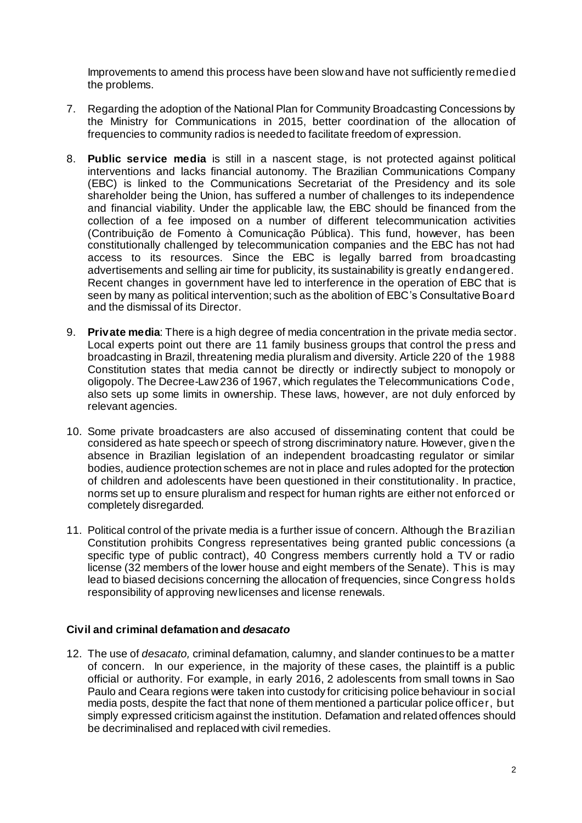Improvements to amend this process have been slow and have not sufficiently remedied the problems.

- 7. Regarding the adoption of the National Plan for Community Broadcasting Concessions by the Ministry for Communications in 2015, better coordination of the allocation of frequencies to community radios is needed to facilitate freedom of expression.
- 8. **Public service media** is still in a nascent stage, is not protected against political interventions and lacks financial autonomy. The Brazilian Communications Company (EBC) is linked to the Communications Secretariat of the Presidency and its sole shareholder being the Union, has suffered a number of challenges to its independence and financial viability. Under the applicable law, the EBC should be financed from the collection of a fee imposed on a number of different telecommunication activities (Contribuição de Fomento à Comunicação Pública). This fund, however, has been constitutionally challenged by telecommunication companies and the EBC has not had access to its resources. Since the EBC is legally barred from broadcasting advertisements and selling air time for publicity, its sustainability is greatly endangered. Recent changes in government have led to interference in the operation of EBC that is seen by many as political intervention; such as the abolition of EBC's Consultative Board and the dismissal of its Director.
- 9. **Private media**: There is a high degree of media concentration in the private media sector. Local experts point out there are 11 family business groups that control the press and broadcasting in Brazil, threatening media pluralism and diversity. Article 220 of the 1988 Constitution states that media cannot be directly or indirectly subject to monopoly or oligopoly. The Decree-Law 236 of 1967, which regulates the Telecommunications Code, also sets up some limits in ownership. These laws, however, are not duly enforced by relevant agencies.
- 10. Some private broadcasters are also accused of disseminating content that could be considered as hate speech or speech of strong discriminatory nature. However, given the absence in Brazilian legislation of an independent broadcasting regulator or similar bodies, audience protection schemes are not in place and rules adopted for the protection of children and adolescents have been questioned in their constitutionality. In practice, norms set up to ensure pluralism and respect for human rights are either not enforced or completely disregarded.
- 11. Political control of the private media is a further issue of concern. Although the Brazilian Constitution prohibits Congress representatives being granted public concessions (a specific type of public contract), 40 Congress members currently hold a TV or radio license (32 members of the lower house and eight members of the Senate). This is may lead to biased decisions concerning the allocation of frequencies, since Congress holds responsibility of approving new licenses and license renewals.

#### **Civil and criminal defamation and** *desacato*

12. The use of *desacato,* criminal defamation, calumny, and slander continues to be a matter of concern. In our experience, in the majority of these cases, the plaintiff is a public official or authority. For example, in early 2016, 2 adolescents from small towns in Sao Paulo and Ceara regions were taken into custody for criticising police behaviour in social media posts, despite the fact that none of them mentioned a particular police officer, but simply expressed criticism against the institution. Defamation and related offences should be decriminalised and replaced with civil remedies.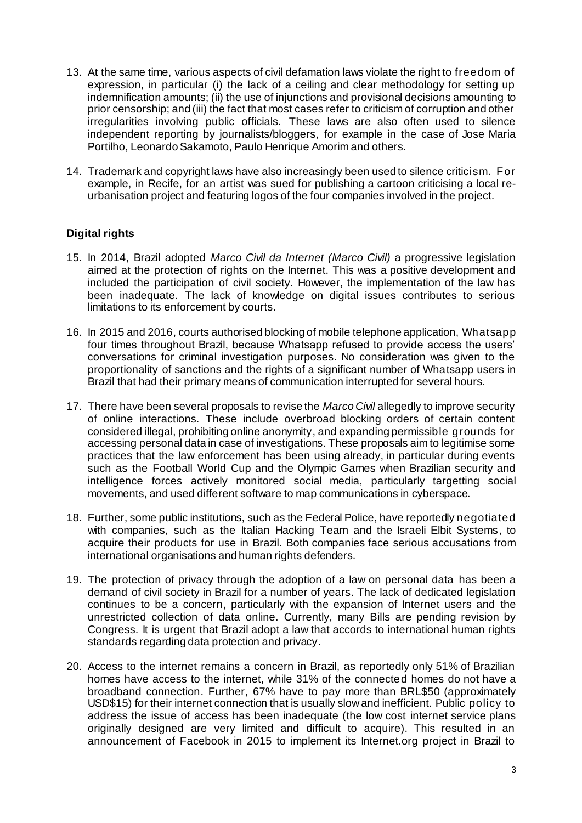- 13. At the same time, various aspects of civil defamation laws violate the right to freedom of expression, in particular (i) the lack of a ceiling and clear methodology for setting up indemnification amounts; (ii) the use of injunctions and provisional decisions amounting to prior censorship; and (iii) the fact that most cases refer to criticism of corruption and other irregularities involving public officials. These laws are also often used to silence independent reporting by journalists/bloggers, for example in the case of Jose Maria Portilho, Leonardo Sakamoto, Paulo Henrique Amorim and others.
- 14. Trademark and copyright laws have also increasingly been used to silence criticism. For example, in Recife, for an artist was sued for publishing a cartoon criticising a local reurbanisation project and featuring logos of the four companies involved in the project.

# **Digital rights**

- 15. In 2014, Brazil adopted *Marco Civil da Internet (Marco Civil)* a progressive legislation aimed at the protection of rights on the Internet. This was a positive development and included the participation of civil society. However, the implementation of the law has been inadequate. The lack of knowledge on digital issues contributes to serious limitations to its enforcement by courts.
- 16. In 2015 and 2016, courts authorised blocking of mobile telephone application, Whatsapp four times throughout Brazil, because Whatsapp refused to provide access the users' conversations for criminal investigation purposes. No consideration was given to the proportionality of sanctions and the rights of a significant number of Whatsapp users in Brazil that had their primary means of communication interrupted for several hours.
- 17. There have been several proposals to revise the *Marco Civil* allegedly to improve security of online interactions. These include overbroad blocking orders of certain content considered illegal, prohibiting online anonymity, and expanding permissible grounds for accessing personal data in case of investigations. These proposals aim to legitimise some practices that the law enforcement has been using already, in particular during events such as the Football World Cup and the Olympic Games when Brazilian security and intelligence forces actively monitored social media, particularly targetting social movements, and used different software to map communications in cyberspace.
- 18. Further, some public institutions, such as the Federal Police, have reportedly negotiated with companies, such as the Italian Hacking Team and the Israeli Elbit Systems, to acquire their products for use in Brazil. Both companies face serious accusations from international organisations and human rights defenders.
- 19. The protection of privacy through the adoption of a law on personal data has been a demand of civil society in Brazil for a number of years. The lack of dedicated legislation continues to be a concern, particularly with the expansion of Internet users and the unrestricted collection of data online. Currently, many Bills are pending revision by Congress. It is urgent that Brazil adopt a law that accords to international human rights standards regarding data protection and privacy.
- 20. Access to the internet remains a concern in Brazil, as reportedly only 51% of Brazilian homes have access to the internet, while 31% of the connected homes do not have a broadband connection. Further, 67% have to pay more than BRL\$50 (approximately USD\$15) for their internet connection that is usually slow and inefficient. Public policy to address the issue of access has been inadequate (the low cost internet service plans originally designed are very limited and difficult to acquire). This resulted in an announcement of Facebook in 2015 to implement its Internet.org project in Brazil to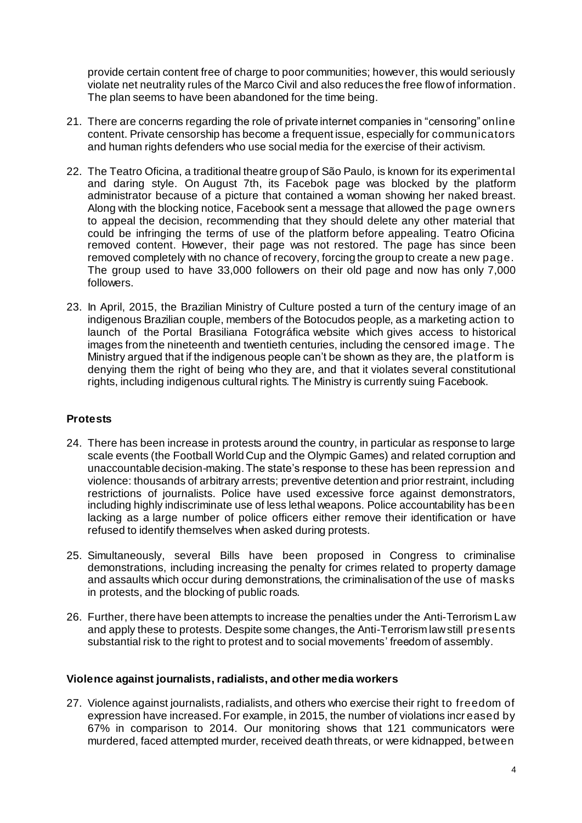provide certain content free of charge to poor communities; however, this would seriously violate net neutrality rules of the Marco Civil and also reduces the free flow of information. The plan seems to have been abandoned for the time being.

- 21. There are concerns regarding the role of private internet companies in "censoring" online content. Private censorship has become a frequent issue, especially for communicators and human rights defenders who use social media for the exercise of their activism.
- 22. The Teatro Oficina, a traditional theatre group of São Paulo, is known for its experimental and daring style. On August 7th, its Facebok page was blocked by the platform administrator because of a picture that contained a woman showing her naked breast. Along with the blocking notice, Facebook sent a message that allowed the page owners to appeal the decision, recommending that they should delete any other material that could be infringing the terms of use of the platform before appealing. Teatro Oficina removed content. However, their page was not restored. The page has since been removed completely with no chance of recovery, forcing the group to create a new page. The group used to have 33,000 followers on their old page and now has only 7,000 followers.
- 23. In April, 2015, the Brazilian Ministry of Culture posted a turn of the century image of an indigenous Brazilian couple, members of the Botocudos people, as a marketing action to launch of the Portal Brasiliana Fotográfica website which gives access to historical images from the nineteenth and twentieth centuries, including the censored image. The Ministry argued that if the indigenous people can't be shown as they are, the platform is denying them the right of being who they are, and that it violates several constitutional rights, including indigenous cultural rights. The Ministry is currently suing Facebook.

### **Protests**

- 24. There has been increase in protests around the country, in particular as response to large scale events (the Football World Cup and the Olympic Games) and related corruption and unaccountable decision-making. The state's response to these has been repression and violence: thousands of arbitrary arrests; preventive detention and prior restraint, including restrictions of journalists. Police have used excessive force against demonstrators, including highly indiscriminate use of less lethal weapons. Police accountability has been lacking as a large number of police officers either remove their identification or have refused to identify themselves when asked during protests.
- 25. Simultaneously, several Bills have been proposed in Congress to criminalise demonstrations, including increasing the penalty for crimes related to property damage and assaults which occur during demonstrations, the criminalisation of the use of masks in protests, and the blocking of public roads.
- 26. Further, there have been attempts to increase the penalties under the Anti-Terrorism Law and apply these to protests. Despite some changes, the Anti-Terrorism law still presents substantial risk to the right to protest and to social movements' freedom of assembly.

#### **Violence against journalists, radialists, and other media workers**

27. Violence against journalists, radialists, and others who exercise their right to freedom of expression have increased. For example, in 2015, the number of violations incr eased by 67% in comparison to 2014. Our monitoring shows that 121 communicators were murdered, faced attempted murder, received death threats, or were kidnapped, between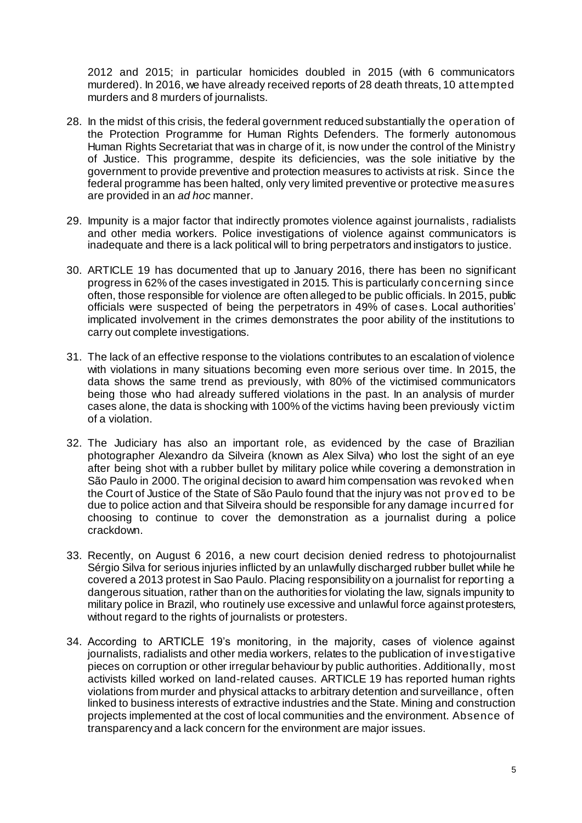2012 and 2015; in particular homicides doubled in 2015 (with 6 communicators murdered). In 2016, we have already received reports of 28 death threats, 10 attempted murders and 8 murders of journalists.

- 28. In the midst of this crisis, the federal government reduced substantially the operation of the Protection Programme for Human Rights Defenders. The formerly autonomous Human Rights Secretariat that was in charge of it, is now under the control of the Ministry of Justice. This programme, despite its deficiencies, was the sole initiative by the government to provide preventive and protection measures to activists at risk. Since the federal programme has been halted, only very limited preventive or protective measures are provided in an *ad hoc* manner.
- 29. Impunity is a major factor that indirectly promotes violence against journalists, radialists and other media workers. Police investigations of violence against communicators is inadequate and there is a lack political will to bring perpetrators and instigators to justice.
- 30. ARTICLE 19 has documented that up to January 2016, there has been no significant progress in 62% of the cases investigated in 2015. This is particularly concerning since often, those responsible for violence are often alleged to be public officials. In 2015, public officials were suspected of being the perpetrators in 49% of cases. Local authorities' implicated involvement in the crimes demonstrates the poor ability of the institutions to carry out complete investigations.
- 31. The lack of an effective response to the violations contributes to an escalation of violence with violations in many situations becoming even more serious over time. In 2015, the data shows the same trend as previously, with 80% of the victimised communicators being those who had already suffered violations in the past. In an analysis of murder cases alone, the data is shocking with 100% of the victims having been previously victim of a violation.
- 32. The Judiciary has also an important role, as evidenced by the case of Brazilian photographer Alexandro da Silveira (known as Alex Silva) who lost the sight of an eye after being shot with a rubber bullet by military police while covering a demonstration in São Paulo in 2000. The original decision to award him compensation was revoked when the Court of Justice of the State of São Paulo found that the injury was not prov ed to be due to police action and that Silveira should be responsible for any damage incurred for choosing to continue to cover the demonstration as a journalist during a police crackdown.
- 33. Recently, on August 6 2016, a new court decision denied redress to photojournalist Sérgio Silva for serious injuries inflicted by an unlawfully discharged rubber bullet while he covered a 2013 protest in Sao Paulo. Placing responsibility on a journalist for reporting a dangerous situation, rather than on the authorities for violating the law, signals impunity to military police in Brazil, who routinely use excessive and unlawful force against protesters, without regard to the rights of journalists or protesters.
- 34. According to ARTICLE 19's monitoring, in the majority, cases of violence against journalists, radialists and other media workers, relates to the publication of investigative pieces on corruption or other irregular behaviour by public authorities. Additionally, most activists killed worked on land-related causes. ARTICLE 19 has reported human rights violations from murder and physical attacks to arbitrary detention and surveillance, often linked to business interests of extractive industries and the State. Mining and construction projects implemented at the cost of local communities and the environment. Absence of transparency and a lack concern for the environment are major issues.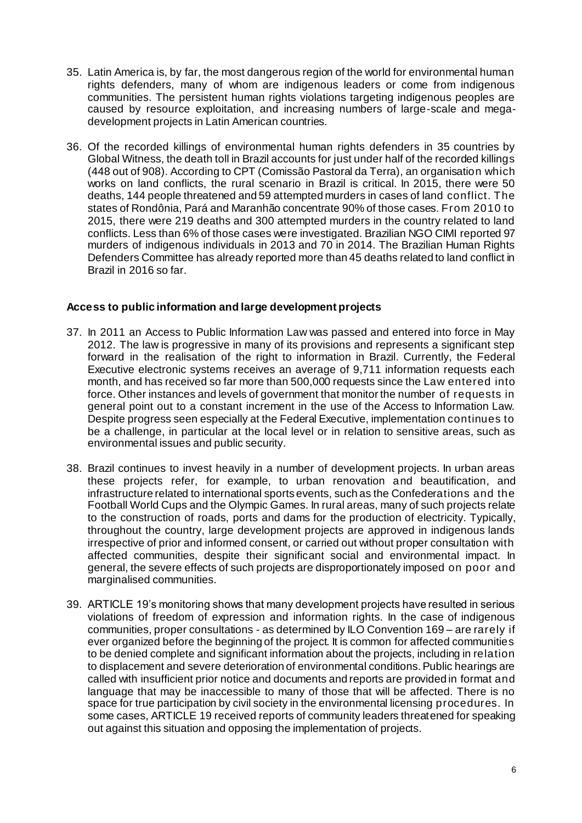- 35. Latin America is, by far, the most dangerous region of the world for environmental human rights defenders, many of whom are indigenous leaders or come from indigenous communities. The persistent human rights violations targeting indigenous peoples are caused by resource exploitation, and increasing numbers of large-scale and megadevelopment projects in Latin American countries.
- 36. Of the recorded killings of environmental human rights defenders in 35 countries by Global Witness, the death toll in Brazil accounts for just under half of the recorded killings (448 out of 908). According to CPT (Comissão Pastoral da Terra), an organisation which works on land conflicts, the rural scenario in Brazil is critical. In 2015, there were 50 deaths, 144 people threatened and 59 attempted murders in cases of land conflict. The states of Rondônia, Pará and Maranhão concentrate 90% of those cases. From 2010 to 2015, there were 219 deaths and 300 attempted murders in the country related to land conflicts. Less than 6% of those cases were investigated. Brazilian NGO CIMI reported 97 murders of indigenous individuals in 2013 and 70 in 2014. The Brazilian Human Rights Defenders Committee has already reported more than 45 deaths related to land conflict in Brazil in 2016 so far.

### **Access to public information and large development projects**

- 37. In 2011 an Access to Public Information Law was passed and entered into force in May 2012. The law is progressive in many of its provisions and represents a significant step forward in the realisation of the right to information in Brazil. Currently, the Federal Executive electronic systems receives an average of 9,711 information requests each month, and has received so far more than 500,000 requests since the Law entered into force. Other instances and levels of government that monitor the number of requests in general point out to a constant increment in the use of the Access to Information Law. Despite progress seen especially at the Federal Executive, implementation continues to be a challenge, in particular at the local level or in relation to sensitive areas, such as environmental issues and public security.
- 38. Brazil continues to invest heavily in a number of development projects. In urban areas these projects refer, for example, to urban renovation and beautification, and infrastructure related to international sports events, such as the Confederations and the Football World Cups and the Olympic Games. In rural areas, many of such projects relate to the construction of roads, ports and dams for the production of electricity. Typically, throughout the country, large development projects are approved in indigenous lands irrespective of prior and informed consent, or carried out without proper consultation with affected communities, despite their significant social and environmental impact. In general, the severe effects of such projects are disproportionately imposed on poor and marginalised communities.
- 39. ARTICLE 19's monitoring shows that many development projects have resulted in serious violations of freedom of expression and information rights. In the case of indigenous communities, proper consultations - as determined by ILO Convention 169 – are rarely if ever organized before the beginning of the project. It is common for affected communities to be denied complete and significant information about the projects, including in relation to displacement and severe deterioration of environmental conditions. Public hearings are called with insufficient prior notice and documents and reports are provided in format and language that may be inaccessible to many of those that will be affected. There is no space for true participation by civil society in the environmental licensing procedures. In some cases, ARTICLE 19 received reports of community leaders threatened for speaking out against this situation and opposing the implementation of projects.